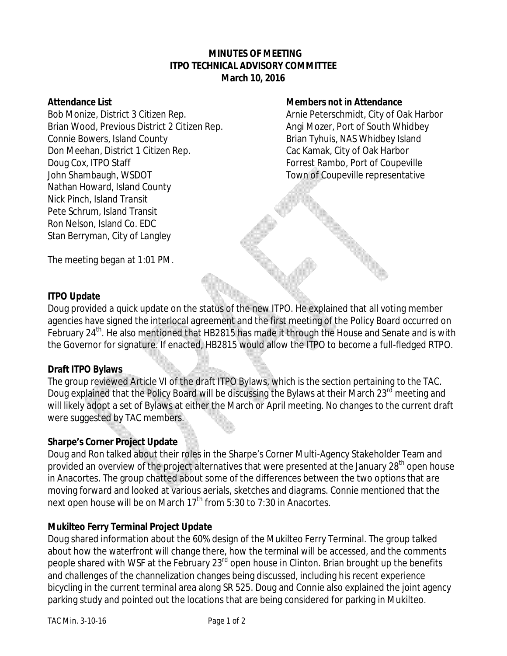# **MINUTES OF MEETING ITPO TECHNICAL ADVISORY COMMITTEE March 10, 2016**

Bob Monize, District 3 Citizen Rep. Arnie Peterschmidt, City of Oak Harbor Brian Wood, Previous District 2 Citizen Rep. Angi Mozer, Port of South Whidbey Connie Bowers, Island County **Brian Tyhuis, NAS Whidbey Island** Don Meehan, District 1 Citizen Rep. Cac Kamak, City of Oak Harbor Doug Cox, ITPO Staff Forrest Rambo, Port of Coupeville John Shambaugh, WSDOT Town of Coupeville representative Nathan Howard, Island County Nick Pinch, Island Transit Pete Schrum, Island Transit Ron Nelson, Island Co. EDC Stan Berryman, City of Langley

## **Attendance List Members not in Attendance**

The meeting began at 1:01 PM.

# **ITPO Update**

Doug provided a quick update on the status of the new ITPO. He explained that all voting member agencies have signed the interlocal agreement and the first meeting of the Policy Board occurred on February 24<sup>th</sup>. He also mentioned that HB2815 has made it through the House and Senate and is with the Governor for signature. If enacted, HB2815 would allow the ITPO to become a full-fledged RTPO.

# **Draft ITPO Bylaws**

The group reviewed Article VI of the draft ITPO Bylaws, which is the section pertaining to the TAC. Doug explained that the Policy Board will be discussing the Bylaws at their March 23<sup>rd</sup> meeting and will likely adopt a set of Bylaws at either the March or April meeting. No changes to the current draft were suggested by TAC members.

#### **Sharpe's Corner Project Update**

Doug and Ron talked about their roles in the Sharpe's Corner Multi-Agency Stakeholder Team and provided an overview of the project alternatives that were presented at the January 28<sup>th</sup> open house in Anacortes. The group chatted about some of the differences between the two options that are moving forward and looked at various aerials, sketches and diagrams. Connie mentioned that the next open house will be on March 17<sup>th</sup> from 5:30 to 7:30 in Anacortes.

# **Mukilteo Ferry Terminal Project Update**

Doug shared information about the 60% design of the Mukilteo Ferry Terminal. The group talked about how the waterfront will change there, how the terminal will be accessed, and the comments people shared with WSF at the February 23<sup>rd</sup> open house in Clinton. Brian brought up the benefits and challenges of the channelization changes being discussed, including his recent experience bicycling in the current terminal area along SR 525. Doug and Connie also explained the joint agency parking study and pointed out the locations that are being considered for parking in Mukilteo.